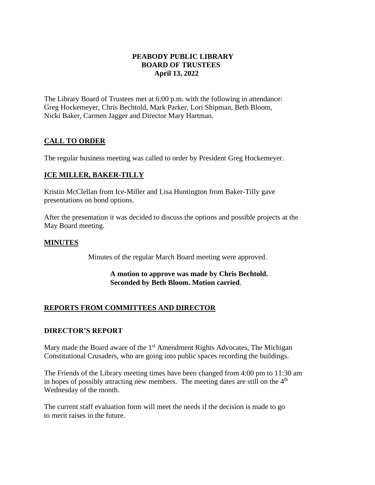### **PEABODY PUBLIC LIBRARY BOARD OF TRUSTEES April 13, 2022**

The Library Board of Trustees met at 6:00 p.m. with the following in attendance: Greg Hockemeyer, Chris Bechtold, Mark Parker, Lori Shipman, Beth Bloom, Nicki Baker, Carmen Jagger and Director Mary Hartman.

# **CALL TO ORDER**

The regular business meeting was called to order by President Greg Hockemeyer.

## **ICE MILLER, BAKER-TILLY**

Kristin McClellan from Ice-Miller and Lisa Huntington from Baker-Tilly gave presentations on bond options.

After the presentation it was decided to discuss the options and possible projects at the May Board meeting.

## **MINUTES**

Minutes of the regular March Board meeting were approved.

### **A motion to approve was made by Chris Bechtold. Seconded by Beth Bloom. Motion carried**.

# **REPORTS FROM COMMITTEES AND DIRECTOR**

### **DIRECTOR'S REPORT**

Mary made the Board aware of the  $1<sup>st</sup>$  Amendment Rights Advocates, The Michigan Constitutional Crusaders, who are going into public spaces recording the buildings.

The Friends of the Library meeting times have been changed from 4:00 pm to 11:30 am in hopes of possibly attracting new members. The meeting dates are still on the  $4<sup>th</sup>$ Wednesday of the month.

The current staff evaluation form will meet the needs if the decision is made to go to merit raises in the future.